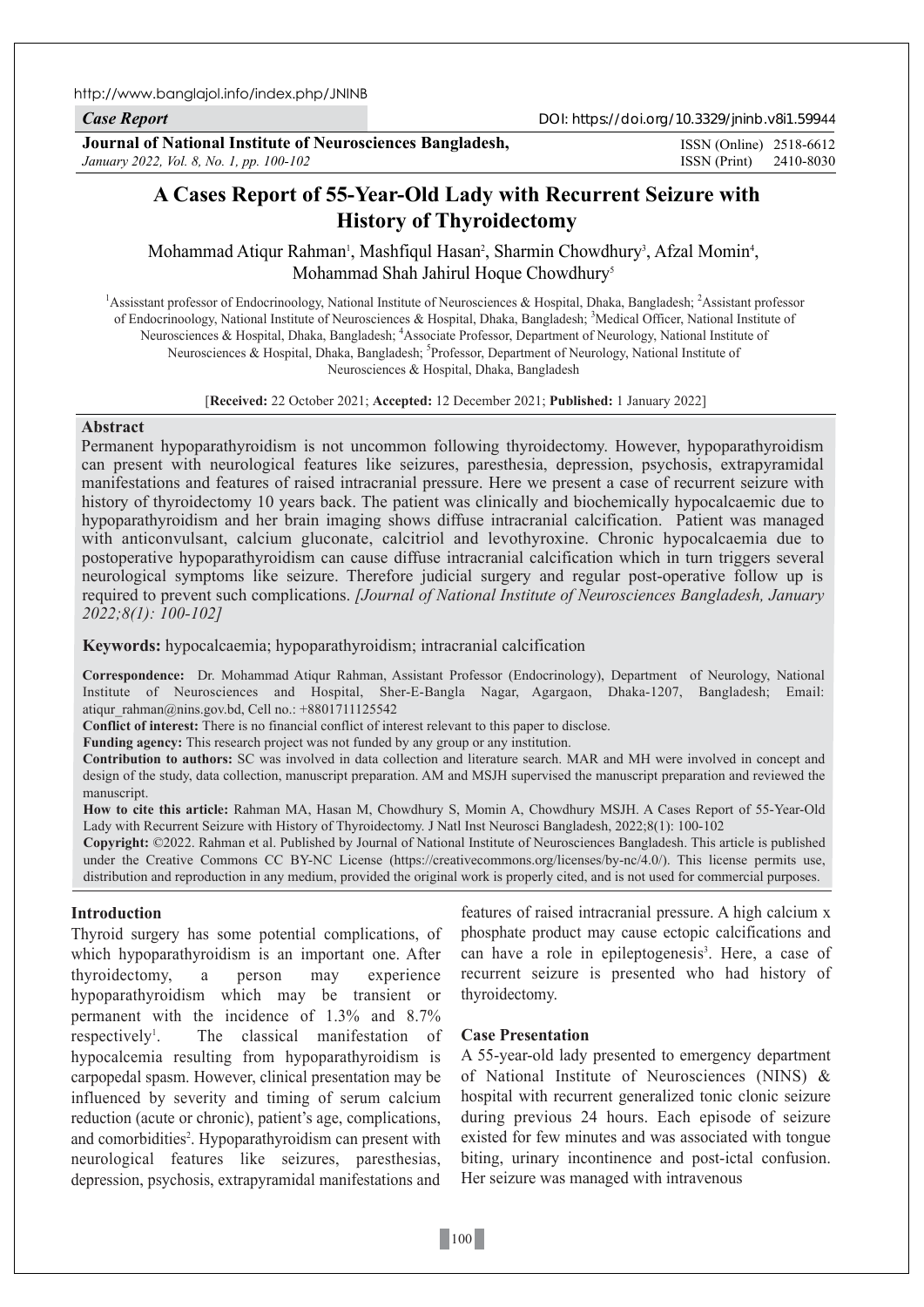http://www.banglajol.info/index.php/JNINB

*Case Report*

DOI: https://doi.org/10.3329/jninb.v8i1.59944

**Journal of National Institute of Neurosciences Bangladesh,** *January 2022, Vol. 8, No. 1, pp. 100-102*

ISSN (Print) 2410-8030 ISSN (Online) 2518-6612

# **A Cases Report of 55-Year-Old Lady with Recurrent Seizure with History of Thyroidectomy**

Mohammad Atiqur Rahman<sup>1</sup>, Mashfiqul Hasan<sup>2</sup>, Sharmin Chowdhury<sup>3</sup>, Afzal Momin<sup>4</sup>, Mohammad Shah Jahirul Hoque Chowdhury5

<sup>1</sup> Assisstant professor of Endocrinoology, National Institute of Neurosciences & Hospital, Dhaka, Bangladesh; <sup>2</sup> Assistant professor of Endocrinoology, National Institute of Neurosciences & Hospital, Dhaka, Bangladesh; <sup>3</sup>Medical Officer, National Institute of Neurosciences & Hospital, Dhaka, Bangladesh; <sup>4</sup>Associate Professor, Department of Neurology, National Institute of Neurosciences & Hospital, Dhaka, Bangladesh; <sup>5</sup>Professor, Department of Neurology, National Institute of Neurosciences & Hospital, Dhaka, Bangladesh

#### [**Received:** 22 October 2021; **Accepted:** 12 December 2021; **Published:** 1 January 2022]

# **Abstract**

Permanent hypoparathyroidism is not uncommon following thyroidectomy. However, hypoparathyroidism can present with neurological features like seizures, paresthesia, depression, psychosis, extrapyramidal manifestations and features of raised intracranial pressure. Here we present a case of recurrent seizure with history of thyroidectomy 10 years back. The patient was clinically and biochemically hypocalcaemic due to hypoparathyroidism and her brain imaging shows diffuse intracranial calcification. Patient was managed with anticonvulsant, calcium gluconate, calcitriol and levothyroxine. Chronic hypocalcaemia due to postoperative hypoparathyroidism can cause diffuse intracranial calcification which in turn triggers several neurological symptoms like seizure. Therefore judicial surgery and regular post-operative follow up is required to prevent such complications. *[Journal of National Institute of Neurosciences Bangladesh, January 2022;8(1): 100-102]*

**Keywords:** hypocalcaemia; hypoparathyroidism; intracranial calcification

**Correspondence:** Dr. Mohammad Atiqur Rahman, Assistant Professor (Endocrinology), Department of Neurology, National Institute of Neurosciences and Hospital, Sher-E-Bangla Nagar, Agargaon, Dhaka-1207, Bangladesh; Email: atiqur\_rahman@nins.gov.bd, Cell no.: +8801711125542

**Conflict of interest:** There is no financial conflict of interest relevant to this paper to disclose.

**Funding agency:** This research project was not funded by any group or any institution.

**Contribution to authors:** SC was involved in data collection and literature search. MAR and MH were involved in concept and design of the study, data collection, manuscript preparation. AM and MSJH supervised the manuscript preparation and reviewed the manuscript.

**How to cite this article:** Rahman MA, Hasan M, Chowdhury S, Momin A, Chowdhury MSJH. A Cases Report of 55-Year-Old Lady with Recurrent Seizure with History of Thyroidectomy. J Natl Inst Neurosci Bangladesh, 2022;8(1): 100-102

**Copyright:** ©2022. Rahman et al. Published by Journal of National Institute of Neurosciences Bangladesh. This article is published under the Creative Commons CC BY-NC License (https://creativecommons.org/licenses/by-nc/4.0/). This license permits use, distribution and reproduction in any medium, provided the original work is properly cited, and is not used for commercial purposes.

# **Introduction**

Thyroid surgery has some potential complications, of which hypoparathyroidism is an important one. After thyroidectomy, a person may experience hypoparathyroidism which may be transient or permanent with the incidence of 1.3% and 8.7% respectively<sup>1</sup>. . The classical manifestation of hypocalcemia resulting from hypoparathyroidism is carpopedal spasm. However, clinical presentation may be influenced by severity and timing of serum calcium reduction (acute or chronic), patient's age, complications, and comorbidities<sup>2</sup>. Hypoparathyroidism can present with neurological features like seizures, paresthesias, depression, psychosis, extrapyramidal manifestations and

features of raised intracranial pressure. A high calcium x phosphate product may cause ectopic calcifications and can have a role in epileptogenesis<sup>3</sup>. Here, a case of recurrent seizure is presented who had history of thyroidectomy.

# **Case Presentation**

A 55-year-old lady presented to emergency department of National Institute of Neurosciences (NINS) & hospital with recurrent generalized tonic clonic seizure during previous 24 hours. Each episode of seizure existed for few minutes and was associated with tongue biting, urinary incontinence and post-ictal confusion. Her seizure was managed with intravenous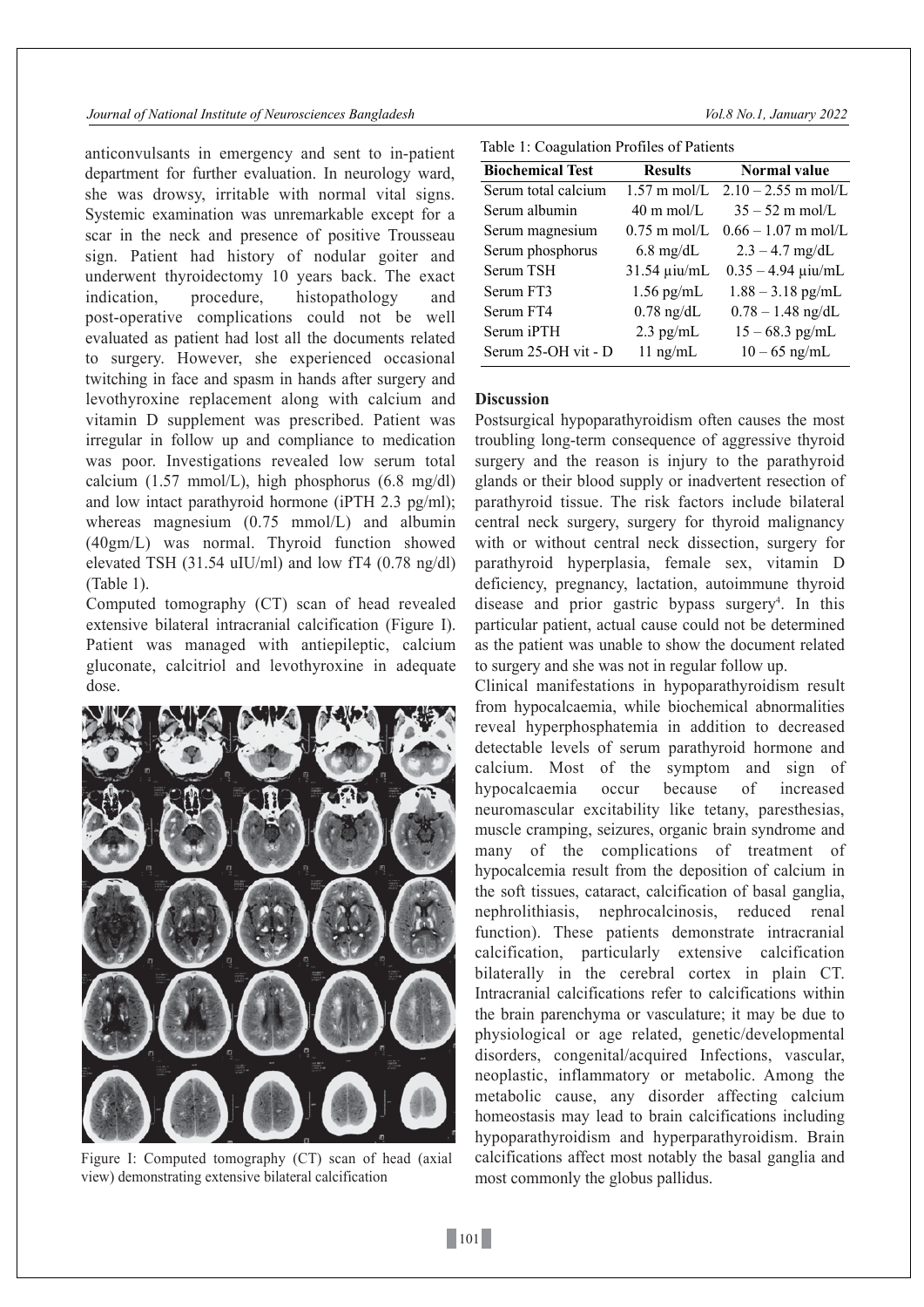#### *Journal of National Institute of Neurosciences Bangladesh Vol.8 No.1, January 2022*

anticonvulsants in emergency and sent to in-patient department for further evaluation. In neurology ward, she was drowsy, irritable with normal vital signs. Systemic examination was unremarkable except for a scar in the neck and presence of positive Trousseau sign. Patient had history of nodular goiter and underwent thyroidectomy 10 years back. The exact indication, procedure, histopathology and post-operative complications could not be well evaluated as patient had lost all the documents related to surgery. However, she experienced occasional twitching in face and spasm in hands after surgery and levothyroxine replacement along with calcium and vitamin D supplement was prescribed. Patient was irregular in follow up and compliance to medication was poor. Investigations revealed low serum total calcium  $(1.57 \text{ mmol/L})$ , high phosphorus  $(6.8 \text{ mg/dl})$ and low intact parathyroid hormone (iPTH 2.3 pg/ml); whereas magnesium (0.75 mmol/L) and albumin (40gm/L) was normal. Thyroid function showed elevated TSH (31.54 uIU/ml) and low fT4 (0.78 ng/dl) (Table 1).

Computed tomography (CT) scan of head revealed extensive bilateral intracranial calcification (Figure I). Patient was managed with antiepileptic, calcium gluconate, calcitriol and levothyroxine in adequate dose.



Figure I: Computed tomography (CT) scan of head (axial view) demonstrating extensive bilateral calcification

Table 1: Coagulation Profiles of Patients

| <b>Biochemical Test</b> | <b>Results</b>         | <b>Normal value</b>          |
|-------------------------|------------------------|------------------------------|
| Serum total calcium     | $1.57 \text{ m}$ mol/L | $2.10 - 2.55$ m mol/L        |
| Serum albumin           | $40 \text{ m}$ mol/L   | $35 - 52$ m mol/L            |
| Serum magnesium         | $0.75$ m mol/L         | $0.66 - 1.07$ m mol/L        |
| Serum phosphorus        | $6.8 \text{ mg/dL}$    | $2.3 - 4.7$ mg/dL            |
| Serum TSH               | 31.54 µiu/mL           | $0.35 - 4.94 \mu i\omega/mL$ |
| Serum FT3               | $1.56$ pg/mL           | $1.88 - 3.18$ pg/mL          |
| Serum FT4               | $0.78$ ng/dL           | $0.78 - 1.48$ ng/dL          |
| Serum iPTH              | $2.3$ pg/mL            | $15 - 68.3$ pg/mL            |
| Serum 25-OH vit - D     | $11$ ng/mL             | $10 - 65$ ng/mL              |

# **Discussion**

Postsurgical hypoparathyroidism often causes the most troubling long-term consequence of aggressive thyroid surgery and the reason is injury to the parathyroid glands or their blood supply or inadvertent resection of parathyroid tissue. The risk factors include bilateral central neck surgery, surgery for thyroid malignancy with or without central neck dissection, surgery for parathyroid hyperplasia, female sex, vitamin D deficiency, pregnancy, lactation, autoimmune thyroid disease and prior gastric bypass surgery<sup>4</sup>. In this particular patient, actual cause could not be determined as the patient was unable to show the document related to surgery and she was not in regular follow up.

Clinical manifestations in hypoparathyroidism result from hypocalcaemia, while biochemical abnormalities reveal hyperphosphatemia in addition to decreased detectable levels of serum parathyroid hormone and calcium. Most of the symptom and sign of hypocalcaemia occur because of increased neuromascular excitability like tetany, paresthesias, muscle cramping, seizures, organic brain syndrome and many of the complications of treatment of hypocalcemia result from the deposition of calcium in the soft tissues, cataract, calcification of basal ganglia, nephrolithiasis, nephrocalcinosis, reduced renal function). These patients demonstrate intracranial calcification, particularly extensive calcification bilaterally in the cerebral cortex in plain CT. Intracranial calcifications refer to calcifications within the brain parenchyma or vasculature; it may be due to physiological or age related, genetic/developmental disorders, congenital/acquired Infections, vascular, neoplastic, inflammatory or metabolic. Among the metabolic cause, any disorder affecting calcium homeostasis may lead to brain calcifications including hypoparathyroidism and hyperparathyroidism. Brain calcifications affect most notably the basal ganglia and most commonly the globus pallidus.